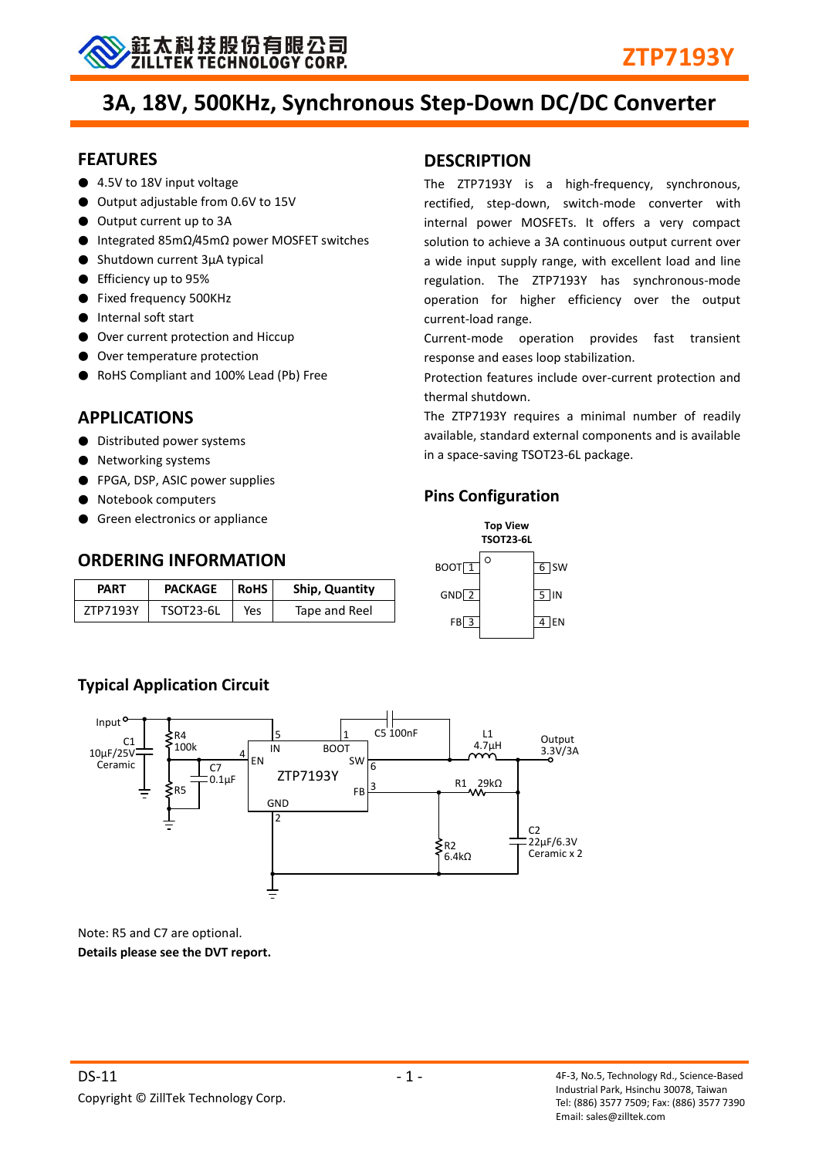

# **3A, 18V, 500KHz, Synchronous Step-Down DC/DC Converter**

**DESCRIPTION**

current-load range.

thermal shutdown.

**Pins Configuration**

 $\Omega$ 

 $\frac{1}{2}$ <br> $\frac{5}{3}$  $GND$  2  $\overline{5}$  IN<br>FB 3 4 EN

**Top View TSOT23-6L**

 $5$  IN

 $6$  SW

**BOOT**<sup>1</sup>  $GND<sup>2</sup>$ 

 $FB$ <sup>3</sup>

The ZTP7193Y is a high-frequency, synchronous, rectified, step-down, switch-mode converter with internal power MOSFETs. It offers a very compact solution to achieve a 3A continuous output current over a wide input supply range, with excellent load and line regulation. The ZTP7193Y has synchronous-mode operation for higher efficiency over the output

Current-mode operation provides fast transient

Protection features include over-current protection and

The ZTP7193Y requires a minimal number of readily available, standard external components and is available

response and eases loop stabilization.

in a space-saving TSOT23-6L package.

#### **FEATURES**

- 4.5V to 18V input voltage
- Output adjustable from 0.6V to 15V
- Output current up to 3A
- Integrated 85mΩ/45mΩ power MOSFET switches
- Shutdown current 3μA typical
- Efficiency up to 95%
- Fixed frequency 500KHz
- Internal soft start
- Over current protection and Hiccup
- Over temperature protection
- RoHS Compliant and 100% Lead (Pb) Free

## **APPLICATIONS**

- Distributed power systems
- Networking systems
- FPGA, DSP, ASIC power supplies
- Notebook computers
- Green electronics or appliance

#### **ORDERING INFORMATION**

| PART     | <b>PACKAGE</b>   | <b>RoHS</b> | <b>Ship, Quantity</b> |
|----------|------------------|-------------|-----------------------|
| ZTP7193Y | <b>TSOT23-6L</b> | Yes         | Tape and Reel         |

## **Typical Application Circuit**



Note: R5 and C7 are optional. **Details please see the DVT report.**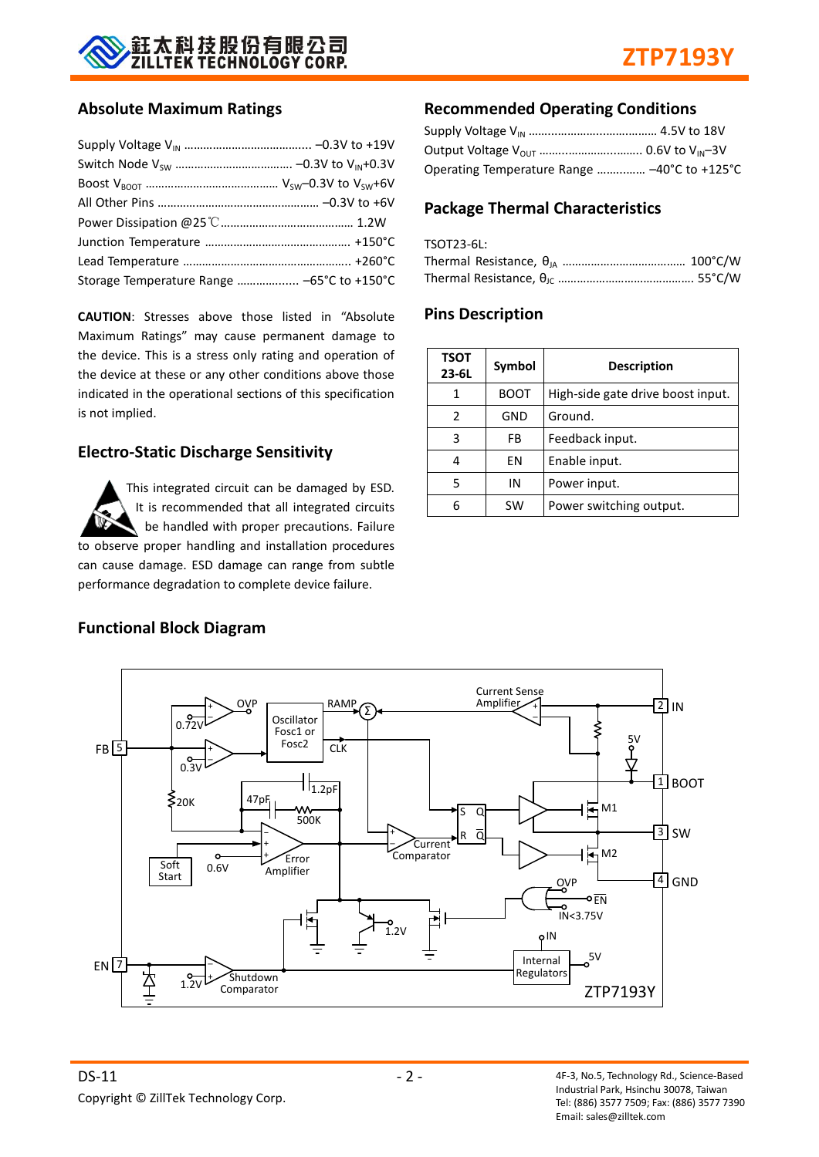

#### **Absolute Maximum Ratings**

| Storage Temperature Range  -65°C to +150°C |  |
|--------------------------------------------|--|

**CAUTION**: Stresses above those listed in "Absolute Maximum Ratings" may cause permanent damage to the device. This is a stress only rating and operation of the device at these or any other conditions above those indicated in the operational sections of this specification is not implied.

#### **Electro-Static Discharge Sensitivity**

This integrated circuit can be damaged by ESD. It is recommended that all integrated circuits be handled with proper precautions. Failure to observe proper handling and installation procedures can cause damage. ESD damage can range from subtle performance degradation to complete device failure.

#### **Recommended Operating Conditions**

| Operating Temperature Range  -40°C to +125°C |  |
|----------------------------------------------|--|

#### **Package Thermal Characteristics**

| TSOT23-6L: |  |
|------------|--|
|            |  |
|            |  |

#### **Pins Description**

| <b>TSOT</b><br>$23 - 6L$ | Symbol    | <b>Description</b>                |  |
|--------------------------|-----------|-----------------------------------|--|
| 1                        | BOOT      | High-side gate drive boost input. |  |
| $\overline{2}$           | GND       | Ground.                           |  |
| 3                        | FB        | Feedback input.                   |  |
| 4                        | ΕN        | Enable input.                     |  |
| 5                        | IN        | Power input.                      |  |
|                          | <b>SW</b> | Power switching output.           |  |



#### **Functional Block Diagram**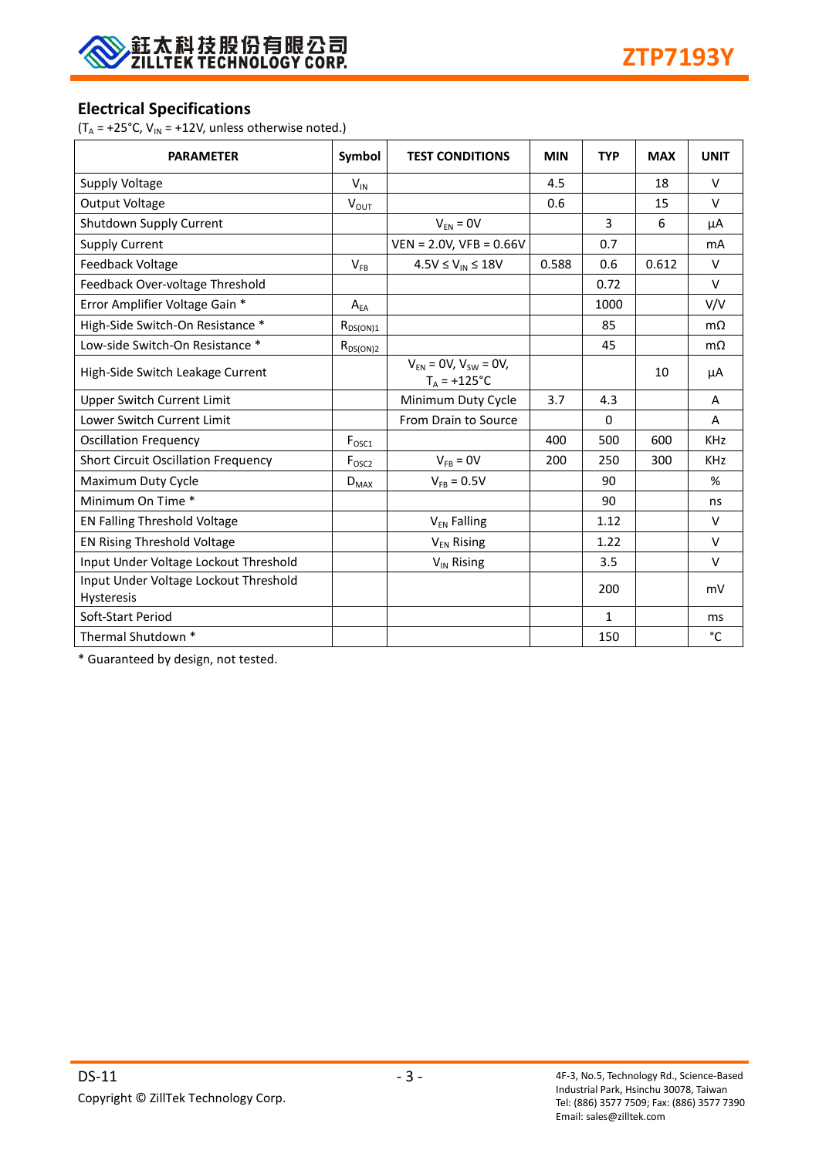

#### **Electrical Specifications**

( $T_A$  = +25°C,  $V_{IN}$  = +12V, unless otherwise noted.)

| <b>PARAMETER</b>                                    | Symbol            | <b>TEST CONDITIONS</b>                             | <b>MIN</b> | <b>TYP</b>   | <b>MAX</b> | <b>UNIT</b> |
|-----------------------------------------------------|-------------------|----------------------------------------------------|------------|--------------|------------|-------------|
| Supply Voltage                                      | $V_{IN}$          |                                                    | 4.5        |              | 18         | $\vee$      |
| <b>Output Voltage</b>                               | $V_{OUT}$         |                                                    | 0.6        |              | 15         | $\vee$      |
| Shutdown Supply Current                             |                   | $V_{FN} = 0V$                                      |            | 3            | 6          | μA          |
| <b>Supply Current</b>                               |                   | $VEN = 2.0V$ , $VFB = 0.66V$                       |            | 0.7          |            | mA          |
| Feedback Voltage                                    | $V_{FB}$          | $4.5V \leq V_{IN} \leq 18V$                        | 0.588      | 0.6          | 0.612      | $\vee$      |
| Feedback Over-voltage Threshold                     |                   |                                                    |            | 0.72         |            | $\vee$      |
| Error Amplifier Voltage Gain *                      | $A_{EA}$          |                                                    |            | 1000         |            | V/V         |
| High-Side Switch-On Resistance *                    | $R_{DS(ON)1}$     |                                                    |            | 85           |            | $m\Omega$   |
| Low-side Switch-On Resistance *                     | $R_{DS(ON)2}$     |                                                    |            | 45           |            | $m\Omega$   |
| High-Side Switch Leakage Current                    |                   | $V_{FN} = 0V$ , $V_{SW} = 0V$ ,<br>$T_A = +125$ °C |            |              | 10         | μA          |
| <b>Upper Switch Current Limit</b>                   |                   | Minimum Duty Cycle                                 | 3.7        | 4.3          |            | A           |
| Lower Switch Current Limit                          |                   | From Drain to Source                               |            | $\Omega$     |            | A           |
| <b>Oscillation Frequency</b>                        | $F_{\text{OSC1}}$ |                                                    | 400        | 500          | 600        | <b>KHz</b>  |
| <b>Short Circuit Oscillation Frequency</b>          | F <sub>osc2</sub> | $V_{FB} = 0V$                                      | 200        | 250          | 300        | <b>KHz</b>  |
| Maximum Duty Cycle                                  | $D_{MAX}$         | $V_{FB} = 0.5V$                                    |            | 90           |            | %           |
| Minimum On Time *                                   |                   |                                                    |            | 90           |            | ns          |
| EN Falling Threshold Voltage                        |                   | V <sub>EN</sub> Falling                            |            | 1.12         |            | $\vee$      |
| EN Rising Threshold Voltage                         |                   | V <sub>EN</sub> Rising                             |            | 1.22         |            | V           |
| Input Under Voltage Lockout Threshold               |                   | V <sub>IN</sub> Rising                             |            | 3.5          |            | $\vee$      |
| Input Under Voltage Lockout Threshold<br>Hysteresis |                   |                                                    |            | 200          |            | mV          |
| Soft-Start Period                                   |                   |                                                    |            | $\mathbf{1}$ |            | ms          |
| Thermal Shutdown *                                  |                   |                                                    |            | 150          |            | °C          |

\* Guaranteed by design, not tested.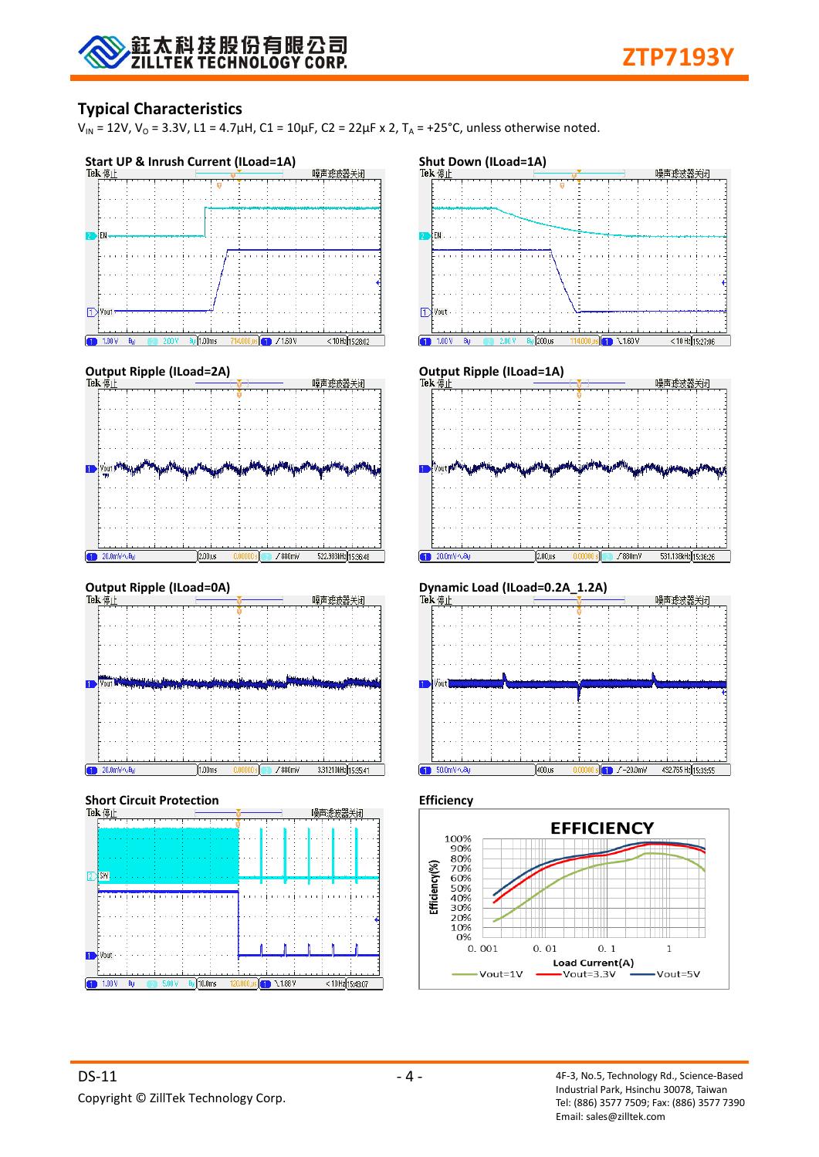## **Typical Characteristics**

 $V_{IN}$  = 12V,  $V_{O}$  = 3.3V, L1 = 4.7μH, C1 = 10μF, C2 = 22μF x 2, T<sub>A</sub> = +25°C, unless otherwise noted.







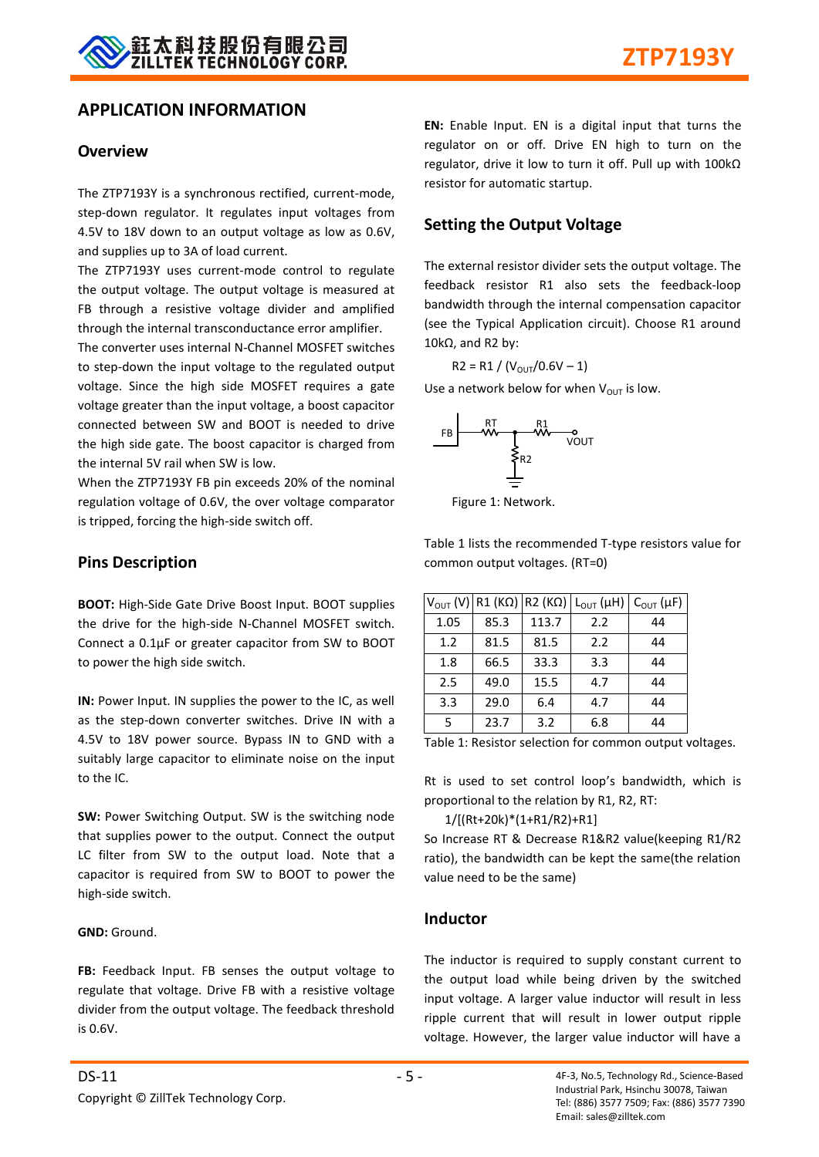#### **APPLICATION INFORMATION**

#### **Overview**

The ZTP7193Y is a synchronous rectified, current-mode, step-down regulator. It regulates input voltages from 4.5V to 18V down to an output voltage as low as 0.6V, and supplies up to 3A of load current.

The ZTP7193Y uses current-mode control to regulate the output voltage. The output voltage is measured at FB through a resistive voltage divider and amplified through the internal transconductance error amplifier.

The converter uses internal N-Channel MOSFET switches to step-down the input voltage to the regulated output voltage. Since the high side MOSFET requires a gate voltage greater than the input voltage, a boost capacitor connected between SW and BOOT is needed to drive the high side gate. The boost capacitor is charged from the internal 5V rail when SW is low.

When the ZTP7193Y FB pin exceeds 20% of the nominal regulation voltage of 0.6V, the over voltage comparator is tripped, forcing the high-side switch off.

#### **Pins Description**

**BOOT:** High-Side Gate Drive Boost Input. BOOT supplies the drive for the high-side N-Channel MOSFET switch. Connect a 0.1μF or greater capacitor from SW to BOOT to power the high side switch.

**IN:** Power Input. IN supplies the power to the IC, as well as the step-down converter switches. Drive IN with a 4.5V to 18V power source. Bypass IN to GND with a suitably large capacitor to eliminate noise on the input to the IC.

**SW:** Power Switching Output. SW is the switching node that supplies power to the output. Connect the output LC filter from SW to the output load. Note that a capacitor is required from SW to BOOT to power the high-side switch.

#### **GND:** Ground.

FB: Feedback Input. FB senses the output voltage to regulate that voltage. Drive FB with a resistive voltage divider from the output voltage. The feedback threshold is 0.6V.

**EN:** Enable Input. EN is a digital input that turns the regulator on or off. Drive EN high to turn on the regulator, drive it low to turn it off. Pull up with 100kΩ resistor for automatic startup.

#### **Setting the Output Voltage**

The external resistor divider sets the output voltage. The feedback resistor R1 also sets the feedback-loop bandwidth through the internal compensation capacitor (see the Typical Application circuit). Choose R1 around 10kΩ, and R2 by:

$$
R2 = R1 / (V_{\text{OUT}} / 0.6V - 1)
$$

Use a network below for when  $V_{\text{OUT}}$  is low.



Figure 1: Network.

Table 1 lists the recommended T-type resistors value for common output voltages. (RT=0)

| $V_{\text{OUT}}(V)$ |      | $R1 (K\Omega)   R2 (K\Omega) $ | $L_{\text{OUT}}(\mu H)$ | $C_{\text{OUT}}(\mu F)$ |
|---------------------|------|--------------------------------|-------------------------|-------------------------|
| 1.05                | 85.3 | 113.7                          | 2.2                     | 44                      |
| 1.2                 | 81.5 | 81.5                           | 2.2                     | 44                      |
| 1.8                 | 66.5 | 33.3                           | 3.3                     | 44                      |
| 2.5                 | 49.0 | 15.5                           | 4.7                     | 44                      |
| 3.3                 | 29.0 | 6.4                            | 4.7                     | 44                      |
| 5                   | 23.7 | 3.2                            | 6.8                     | 44                      |

Table 1: Resistor selection for common output voltages.

Rt is used to set control loop's bandwidth, which is proportional to the relation by R1, R2, RT:

1/[(Rt+20k)\*(1+R1/R2)+R1]

So Increase RT & Decrease R1&R2 value(keeping R1/R2 ratio), the bandwidth can be kept the same(the relation value need to be the same)

#### **Inductor**

The inductor is required to supply constant current to the output load while being driven by the switched input voltage. A larger value inductor will result in less ripple current that will result in lower output ripple voltage. However, the larger value inductor will have a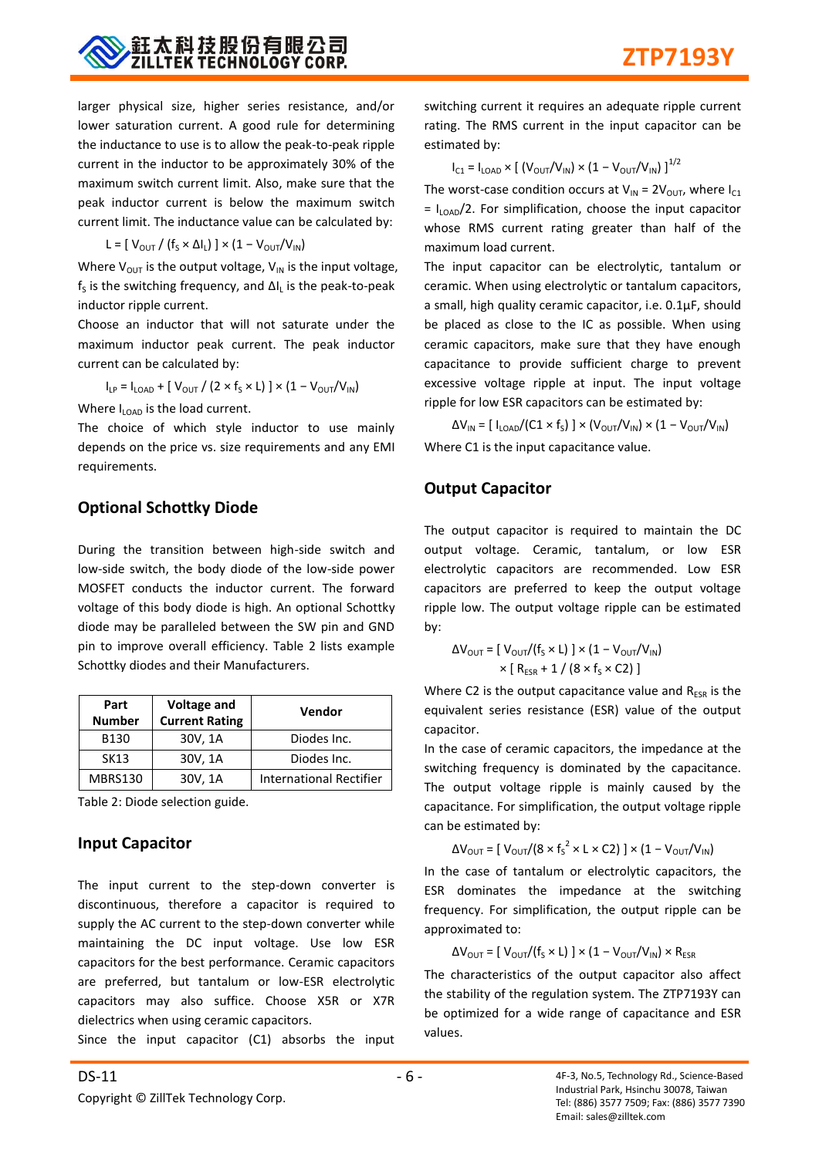larger physical size, higher series resistance, and/or lower saturation current. A good rule for determining the inductance to use is to allow the peak-to-peak ripple current in the inductor to be approximately 30% of the maximum switch current limit. Also, make sure that the peak inductor current is below the maximum switch current limit. The inductance value can be calculated by:

$$
L = [ V_{\text{OUT}} / (f_{S} \times \Delta I_{L}) ] \times (1 - V_{\text{OUT}} / V_{\text{IN}})
$$

Where  $V_{OUT}$  is the output voltage,  $V_{IN}$  is the input voltage,  $f_s$  is the switching frequency, and  $\Delta I_L$  is the peak-to-peak inductor ripple current.

Choose an inductor that will not saturate under the maximum inductor peak current. The peak inductor current can be calculated by:

 $\mathsf{I}_{\mathsf{LP}} = \mathsf{I}_{\mathsf{LOAD}} + \left[ \right. \mathsf{V}_{\mathsf{OUT}} \mathsf{/} \left( 2 \times \mathsf{f}_\mathsf{S} \times \mathsf{L} \right) \left. \right] \times \left( 1 - \mathsf{V}_{\mathsf{OUT}} / \mathsf{V}_{\mathsf{IN}} \right)$ 

Where  $I_{\text{LOAD}}$  is the load current.

The choice of which style inductor to use mainly depends on the price vs. size requirements and any EMI requirements.

## **Optional Schottky Diode**

During the transition between high-side switch and low-side switch, the body diode of the low-side power MOSFET conducts the inductor current. The forward voltage of this body diode is high. An optional Schottky diode may be paralleled between the SW pin and GND pin to improve overall efficiency. Table 2 lists example Schottky diodes and their Manufacturers.

| Part<br><b>Number</b> | <b>Voltage and</b><br><b>Current Rating</b> | Vendor                         |
|-----------------------|---------------------------------------------|--------------------------------|
| B <sub>130</sub>      | 30V, 1A                                     | Diodes Inc.                    |
| SK13                  | 30V, 1A                                     | Diodes Inc.                    |
| MBRS130               | 30V, 1A                                     | <b>International Rectifier</b> |

Table 2: Diode selection guide.

## **Input Capacitor**

The input current to the step-down converter is discontinuous, therefore a capacitor is required to supply the AC current to the step-down converter while maintaining the DC input voltage. Use low ESR capacitors for the best performance. Ceramic capacitors are preferred, but tantalum or low-ESR electrolytic capacitors may also suffice. Choose X5R or X7R dielectrics when using ceramic capacitors.

Since the input capacitor (C1) absorbs the input

switching current it requires an adequate ripple current rating. The RMS current in the input capacitor can be estimated by:

$$
I_{C1} = I_{\text{LOAD}} \times \left[ (V_{\text{OUT}}/V_{\text{IN}}) \times (1 - V_{\text{OUT}}/V_{\text{IN}}) \right]^{1/2}
$$

The worst-case condition occurs at  $V_{IN} = 2V_{OUT}$ , where  $I_{C1}$  $= I_{\text{LOAD}}/2$ . For simplification, choose the input capacitor whose RMS current rating greater than half of the maximum load current.

The input capacitor can be electrolytic, tantalum or ceramic. When using electrolytic or tantalum capacitors, a small, high quality ceramic capacitor, i.e. 0.1μF, should be placed as close to the IC as possible. When using ceramic capacitors, make sure that they have enough capacitance to provide sufficient charge to prevent excessive voltage ripple at input. The input voltage ripple for low ESR capacitors can be estimated by:

 $\Delta V_{\sf IN}$  = [ I<sub>LOAD</sub>/(C1 × f<sub>S</sub>) ] × (V<sub>OUT</sub>/V<sub>IN</sub>) × (1 – V<sub>OUT</sub>/V<sub>IN</sub>) Where C1 is the input capacitance value.

## **Output Capacitor**

The output capacitor is required to maintain the DC output voltage. Ceramic, tantalum, or low ESR electrolytic capacitors are recommended. Low ESR capacitors are preferred to keep the output voltage ripple low. The output voltage ripple can be estimated by:

$$
\Delta V_{\text{OUT}} = [\ V_{\text{OUT}} / (f_{\text{S}} \times L)] \times (1 - V_{\text{OUT}} / V_{\text{IN}})
$$

$$
\times [\ R_{\text{ESR}} + 1 / (8 \times f_{\text{S}} \times C2)]
$$

Where C2 is the output capacitance value and  $R_{ESR}$  is the equivalent series resistance (ESR) value of the output capacitor.

In the case of ceramic capacitors, the impedance at the switching frequency is dominated by the capacitance. The output voltage ripple is mainly caused by the capacitance. For simplification, the output voltage ripple can be estimated by:

$$
\Delta V_{\text{OUT}} = [ V_{\text{OUT}} / (8 \times f_s^2 \times L \times C2) ] \times (1 - V_{\text{OUT}} / V_{\text{IN}})
$$

In the case of tantalum or electrolytic capacitors, the ESR dominates the impedance at the switching frequency. For simplification, the output ripple can be approximated to:

 $\Delta V_{\text{OUT}} = [\text{ V}_{\text{OUT}}/(\text{f}_{\text{S}} \times \text{L})] \times (1 - \text{V}_{\text{OUT}}/\text{V}_{\text{IN}}) \times \text{R}_{\text{ESR}}$ 

The characteristics of the output capacitor also affect the stability of the regulation system. The ZTP7193Y can be optimized for a wide range of capacitance and ESR values.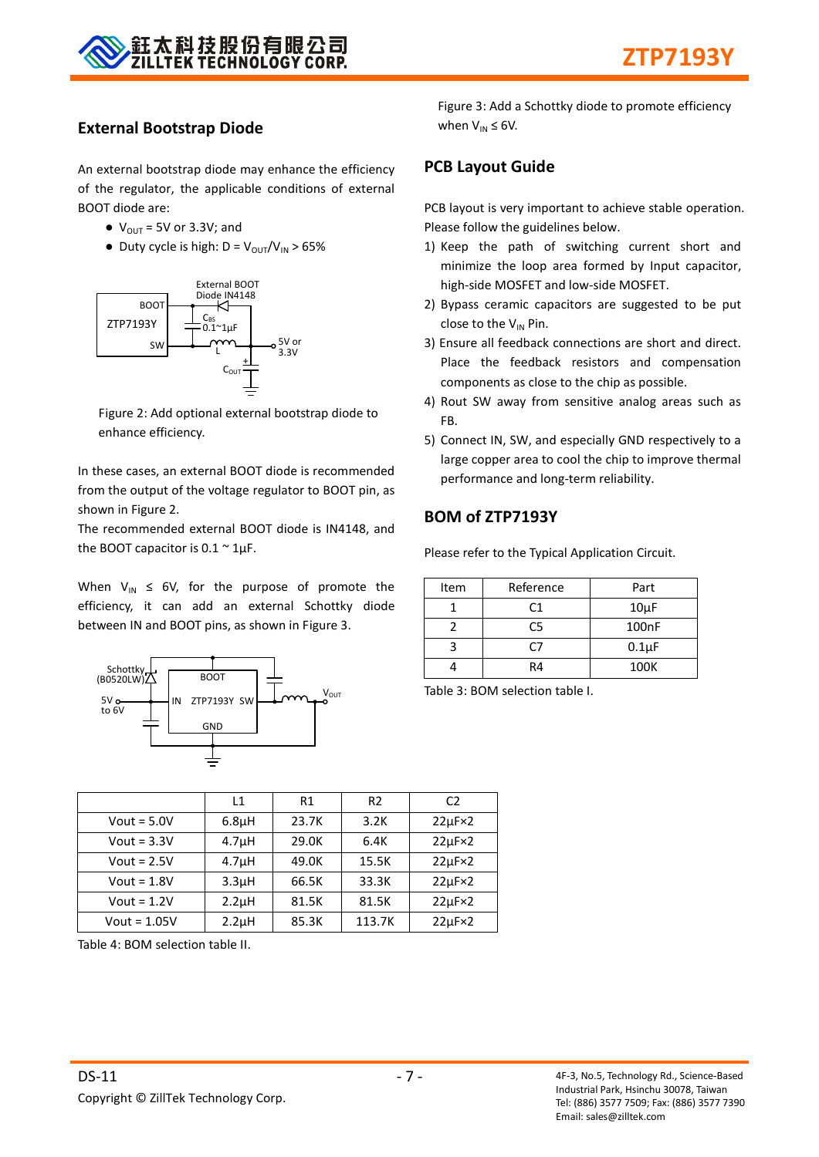

#### **External Bootstrap Diode**

An external bootstrap diode may enhance the efficiency of the regulator, the applicable conditions of external BOOT diode are:

- $\bullet$  V<sub>OUT</sub> = 5V or 3.3V; and
- Duty cycle is high:  $D = V_{OUT}/V_{IN} > 65\%$



Figure 2: Add optional external bootstrap diode to enhance efficiency.

In these cases, an external BOOT diode is recommended from the output of the voltage regulator to BOOT pin, as shown in Figure 2.

The recommended external BOOT diode is IN4148, and the BOOT capacitor is  $0.1 \approx 1 \mu F$ .

When  $V_{IN} \leq 6V$ , for the purpose of promote the efficiency, it can add an external Schottky diode between IN and BOOT pins, as shown in Figure 3.



Figure 3: Add a Schottky diode to promote efficiency when  $V_{IN} \leq 6V$ .

#### **PCB Layout Guide**

PCB layout is very important to achieve stable operation. Please follow the guidelines below.

- 1) Keep the path of switching current short and minimize the loop area formed by Input capacitor, high-side MOSFET and low-side MOSFET.
- 2) Bypass ceramic capacitors are suggested to be put close to the  $V_{IN}$  Pin.
- 3) Ensure all feedback connections are short and direct. Place the feedback resistors and compensation components as close to the chip as possible.
- 4) Rout SW away from sensitive analog areas such as FB.
- 5) Connect IN, SW, and especially GND respectively to a large copper area to cool the chip to improve thermal performance and long-term reliability.

## **BOM of ZTP7193Y**

Please refer to the Typical Application Circuit.

| Item | Reference      | Part       |
|------|----------------|------------|
|      | C <sub>1</sub> | $10\mu F$  |
|      | C5             | 100nF      |
|      | r7             | $0.1\mu F$ |
|      | R4             | 100K       |

Table 3: BOM selection table I.

|                | L1                 | R1    | R <sub>2</sub> | C <sub>2</sub>     |
|----------------|--------------------|-------|----------------|--------------------|
| Vout = $5.0V$  | 6.8 <sub>µ</sub> H | 23.7K | 3.2K           | $22\mu F \times 2$ |
| Vout = $3.3V$  | 4.7 <sub>µ</sub> H | 29.0K | 6.4K           | $22\mu F \times 2$ |
| Vout = $2.5V$  | 4.7 <sub>µ</sub> H | 49.0K | 15.5K          | $22\mu F \times 2$ |
| Vout = $1.8V$  | 3.3 <sub>µ</sub> H | 66.5K | 33.3K          | $22\mu F \times 2$ |
| Vout = $1.2V$  | 2.2 <sub>µ</sub> H | 81.5K | 81.5K          | $22\mu F \times 2$ |
| Vout = $1.05V$ | $2.2\mu$ H         | 85.3K | 113.7K         | $22\mu F \times 2$ |

Table 4: BOM selection table II.